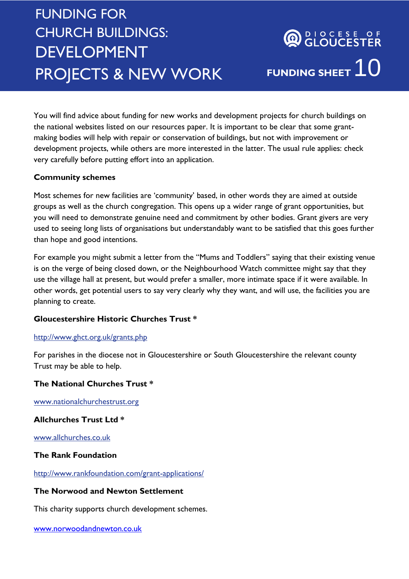# FUNDING FOR CHURCH BUILDINGS: DEVELOPMENT PROJECTS & NEW WORK

You will find advice about funding for new works and development projects for church buildings on the national websites listed on our resources paper. It is important to be clear that some grantmaking bodies will help with repair or conservation of buildings, but not with improvement or development projects, while others are more interested in the latter. The usual rule applies: check very carefully before putting effort into an application.

# **Community schemes**

Most schemes for new facilities are 'community' based, in other words they are aimed at outside groups as well as the church congregation. This opens up a wider range of grant opportunities, but you will need to demonstrate genuine need and commitment by other bodies. Grant givers are very used to seeing long lists of organisations but understandably want to be satisfied that this goes further than hope and good intentions.

For example you might submit a letter from the "Mums and Toddlers" saying that their existing venue is on the verge of being closed down, or the Neighbourhood Watch committee might say that they use the village hall at present, but would prefer a smaller, more intimate space if it were available. In other words, get potential users to say very clearly why they want, and will use, the facilities you are planning to create.

# **Gloucestershire Historic Churches Trust \***

## <http://www.ghct.org.uk/grants.php>

For parishes in the diocese not in Gloucestershire or South Gloucestershire the relevant county Trust may be able to help.

# **The National Churches Trust \***

[www.nationalchurchestrust.org](http://www.nationalchurchestrust.org/)

# **Allchurches Trust Ltd \***

[www.allchurches.co.uk](http://www.allchurches.co.uk/)

## **The Rank Foundation**

<http://www.rankfoundation.com/grant-applications/>

# **The Norwood and Newton Settlement**

This charity supports church development schemes.